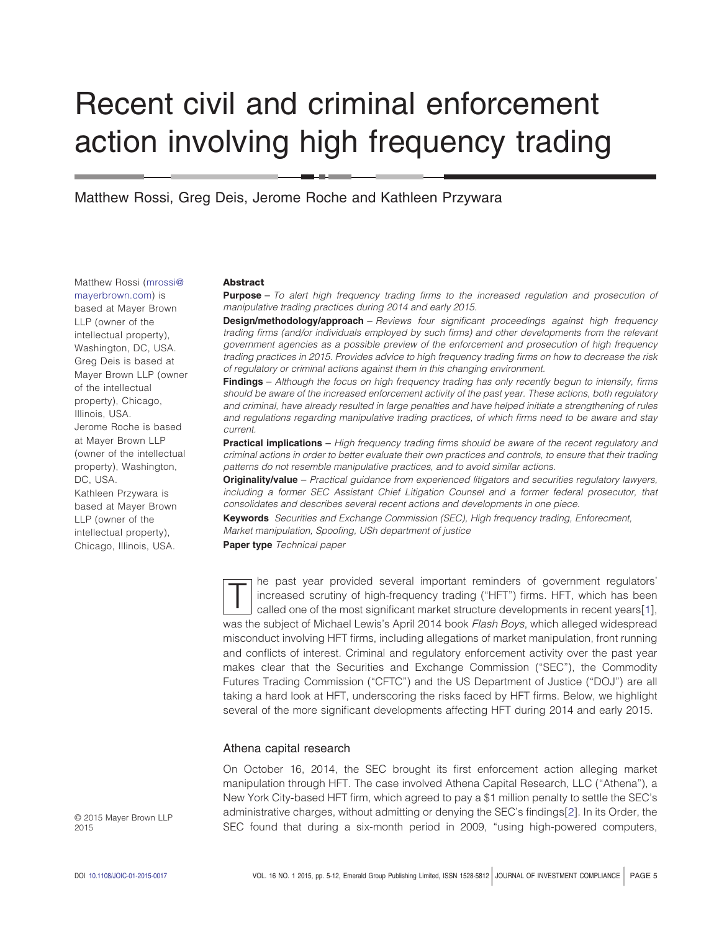# Recent civil and criminal enforcement action involving high frequency trading

Matthew Rossi, Greg Deis, Jerome Roche and Kathleen Przywara

Matthew Rossi [\(mrossi@](mailto:mrossi@mayerbrown.com) [mayerbrown.com\)](mailto:mrossi@mayerbrown.com) is based at Mayer Brown LLP (owner of the intellectual property), Washington, DC, USA. Greg Deis is based at Mayer Brown LLP (owner of the intellectual property), Chicago, Illinois, USA. Jerome Roche is based at Mayer Brown LLP (owner of the intellectual property), Washington, DC, USA. Kathleen Przywara is based at Mayer Brown LLP (owner of the intellectual property), Chicago, Illinois, USA.

**Abstract**

**Purpose** – *To alert high frequency trading firms to the increased regulation and prosecution of manipulative trading practices during 2014 and early 2015.*

**Design/methodology/approach** – *Reviews four significant proceedings against high frequency trading firms (and/or individuals employed by such firms) and other developments from the relevant government agencies as a possible preview of the enforcement and prosecution of high frequency trading practices in 2015. Provides advice to high frequency trading firms on how to decrease the risk of regulatory or criminal actions against them in this changing environment.*

**Findings** – *Although the focus on high frequency trading has only recently begun to intensify, firms should be aware of the increased enforcement activity of the past year. These actions, both regulatory and criminal, have already resulted in large penalties and have helped initiate a strengthening of rules and regulations regarding manipulative trading practices, of which firms need to be aware and stay current.*

**Practical implications** – *High frequency trading firms should be aware of the recent regulatory and criminal actions in order to better evaluate their own practices and controls, to ensure that their trading patterns do not resemble manipulative practices, and to avoid similar actions.*

**Originality/value** – *Practical guidance from experienced litigators and securities regulatory lawyers, including a former SEC Assistant Chief Litigation Counsel and a former federal prosecutor, that consolidates and describes several recent actions and developments in one piece.*

**Keywords** *Securities and Exchange Commission (SEC), High frequency trading, Enforecment, Market manipulation, Spoofing, USh department of justice*

**Paper type** *Technical paper*

T he past year provided several important reminders of government regulators'<br>increased scrutiny of high-frequency trading ("HFT") firms. HFT, which has been<br>called one of the most significant market structure developments increased scrutiny of high-frequency trading ("HFT") firms. HFT, which has been called one of the most significant market structure developments in recent years[\[1\]](#page-5-0), was the subject of Michael Lewis's April 2014 book *Flash Boys*, which alleged widespread misconduct involving HFT firms, including allegations of market manipulation, front running and conflicts of interest. Criminal and regulatory enforcement activity over the past year makes clear that the Securities and Exchange Commission ("SEC"), the Commodity Futures Trading Commission ("CFTC") and the US Department of Justice ("DOJ") are all taking a hard look at HFT, underscoring the risks faced by HFT firms. Below, we highlight several of the more significant developments affecting HFT during 2014 and early 2015.

## Athena capital research

On October 16, 2014, the SEC brought its first enforcement action alleging market manipulation through HFT. The case involved Athena Capital Research, LLC ("Athena"), a New York City-based HFT firm, which agreed to pay a \$1 million penalty to settle the SEC's administrative charges, without admitting or denying the SEC's findings[\[2\]](#page-5-1). In its Order, the SEC found that during a six-month period in 2009, "using high-powered computers, © 2015 Mayer Brown LLP

2015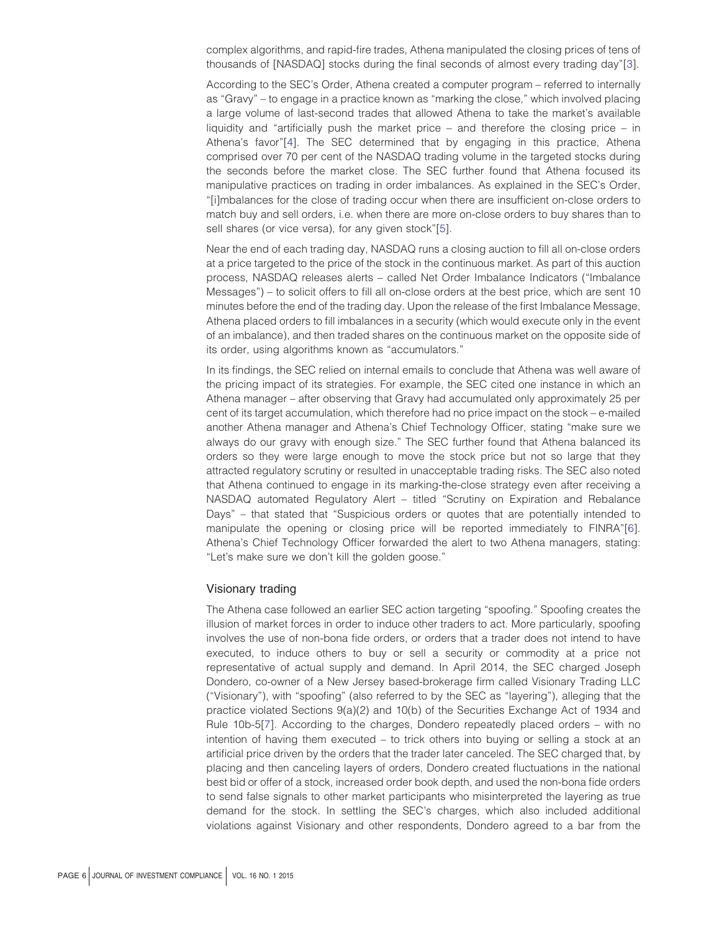complex algorithms, and rapid-fire trades, Athena manipulated the closing prices of tens of thousands of [NASDAQ] stocks during the final seconds of almost every trading day"[\[3\]](#page-5-2).

According to the SEC's Order, Athena created a computer program – referred to internally as "Gravy" – to engage in a practice known as "marking the close," which involved placing a large volume of last-second trades that allowed Athena to take the market's available liquidity and "artificially push the market price – and therefore the closing price – in Athena's favor"[\[4\]](#page-5-3). The SEC determined that by engaging in this practice, Athena comprised over 70 per cent of the NASDAQ trading volume in the targeted stocks during the seconds before the market close. The SEC further found that Athena focused its manipulative practices on trading in order imbalances. As explained in the SEC's Order, "[i]mbalances for the close of trading occur when there are insufficient on-close orders to match buy and sell orders, i.e. when there are more on-close orders to buy shares than to sell shares (or vice versa), for any given stock"[\[5\]](#page-6-0).

Near the end of each trading day, NASDAQ runs a closing auction to fill all on-close orders at a price targeted to the price of the stock in the continuous market. As part of this auction process, NASDAQ releases alerts – called Net Order Imbalance Indicators ("Imbalance Messages") – to solicit offers to fill all on-close orders at the best price, which are sent 10 minutes before the end of the trading day. Upon the release of the first Imbalance Message, Athena placed orders to fill imbalances in a security (which would execute only in the event of an imbalance), and then traded shares on the continuous market on the opposite side of its order, using algorithms known as "accumulators."

In its findings, the SEC relied on internal emails to conclude that Athena was well aware of the pricing impact of its strategies. For example, the SEC cited one instance in which an Athena manager – after observing that Gravy had accumulated only approximately 25 per cent of its target accumulation, which therefore had no price impact on the stock – e-mailed another Athena manager and Athena's Chief Technology Officer, stating "make sure we always do our gravy with enough size." The SEC further found that Athena balanced its orders so they were large enough to move the stock price but not so large that they attracted regulatory scrutiny or resulted in unacceptable trading risks. The SEC also noted that Athena continued to engage in its marking-the-close strategy even after receiving a NASDAQ automated Regulatory Alert – titled "Scrutiny on Expiration and Rebalance Days" – that stated that "Suspicious orders or quotes that are potentially intended to manipulate the opening or closing price will be reported immediately to FINRA"[\[6\]](#page-6-1). Athena's Chief Technology Officer forwarded the alert to two Athena managers, stating: "Let's make sure we don't kill the golden goose."

## Visionary trading

The Athena case followed an earlier SEC action targeting "spoofing." Spoofing creates the illusion of market forces in order to induce other traders to act. More particularly, spoofing involves the use of non-bona fide orders, or orders that a trader does not intend to have executed, to induce others to buy or sell a security or commodity at a price not representative of actual supply and demand. In April 2014, the SEC charged Joseph Dondero, co-owner of a New Jersey based-brokerage firm called Visionary Trading LLC ("Visionary"), with "spoofing" (also referred to by the SEC as "layering"), alleging that the practice violated Sections 9(a)(2) and 10(b) of the Securities Exchange Act of 1934 and Rule 10b-5[\[7\]](#page-6-2). According to the charges, Dondero repeatedly placed orders – with no intention of having them executed – to trick others into buying or selling a stock at an artificial price driven by the orders that the trader later canceled. The SEC charged that, by placing and then canceling layers of orders, Dondero created fluctuations in the national best bid or offer of a stock, increased order book depth, and used the non-bona fide orders to send false signals to other market participants who misinterpreted the layering as true demand for the stock. In settling the SEC's charges, which also included additional violations against Visionary and other respondents, Dondero agreed to a bar from the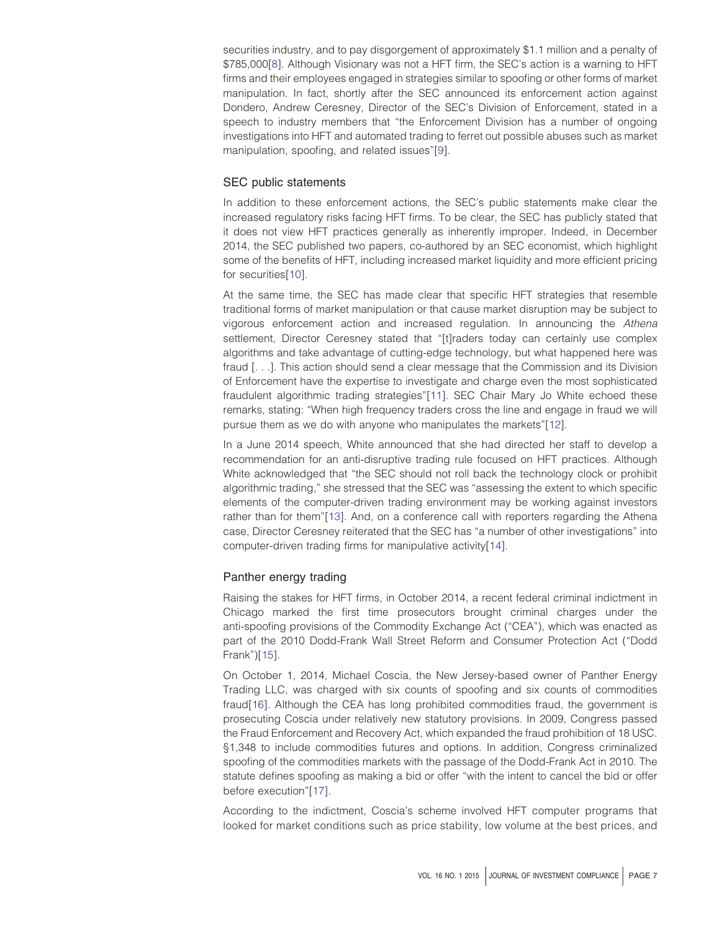securities industry, and to pay disgorgement of approximately \$1.1 million and a penalty of \$785,000[\[8\]](#page-6-3). Although Visionary was not a HFT firm, the SEC's action is a warning to HFT firms and their employees engaged in strategies similar to spoofing or other forms of market manipulation. In fact, shortly after the SEC announced its enforcement action against Dondero, Andrew Ceresney, Director of the SEC's Division of Enforcement, stated in a speech to industry members that "the Enforcement Division has a number of ongoing investigations into HFT and automated trading to ferret out possible abuses such as market manipulation, spoofing, and related issues"[\[9\]](#page-6-4).

# SEC public statements

In addition to these enforcement actions, the SEC's public statements make clear the increased regulatory risks facing HFT firms. To be clear, the SEC has publicly stated that it does not view HFT practices generally as inherently improper. Indeed, in December 2014, the SEC published two papers, co-authored by an SEC economist, which highlight some of the benefits of HFT, including increased market liquidity and more efficient pricing for securities[\[10\]](#page-6-5).

At the same time, the SEC has made clear that specific HFT strategies that resemble traditional forms of market manipulation or that cause market disruption may be subject to vigorous enforcement action and increased regulation. In announcing the *Athena* settlement, Director Ceresney stated that "[t]raders today can certainly use complex algorithms and take advantage of cutting-edge technology, but what happened here was fraud [. . .]. This action should send a clear message that the Commission and its Division of Enforcement have the expertise to investigate and charge even the most sophisticated fraudulent algorithmic trading strategies"[\[11\]](#page-6-6). SEC Chair Mary Jo White echoed these remarks, stating: "When high frequency traders cross the line and engage in fraud we will pursue them as we do with anyone who manipulates the markets"[\[12\]](#page-6-7).

In a June 2014 speech, White announced that she had directed her staff to develop a recommendation for an anti-disruptive trading rule focused on HFT practices. Although White acknowledged that "the SEC should not roll back the technology clock or prohibit algorithmic trading," she stressed that the SEC was "assessing the extent to which specific elements of the computer-driven trading environment may be working against investors rather than for them"[\[13\]](#page-6-8). And, on a conference call with reporters regarding the Athena case, Director Ceresney reiterated that the SEC has "a number of other investigations" into computer-driven trading firms for manipulative activity[\[14\]](#page-6-9).

# Panther energy trading

Raising the stakes for HFT firms, in October 2014, a recent federal criminal indictment in Chicago marked the first time prosecutors brought criminal charges under the anti-spoofing provisions of the Commodity Exchange Act ("CEA"), which was enacted as part of the 2010 Dodd-Frank Wall Street Reform and Consumer Protection Act ("Dodd Frank")[\[15\]](#page-6-10).

On October 1, 2014, Michael Coscia, the New Jersey-based owner of Panther Energy Trading LLC, was charged with six counts of spoofing and six counts of commodities fraud[\[16\]](#page-6-11). Although the CEA has long prohibited commodities fraud, the government is prosecuting Coscia under relatively new statutory provisions. In 2009, Congress passed the Fraud Enforcement and Recovery Act, which expanded the fraud prohibition of 18 USC. §1,348 to include commodities futures and options. In addition, Congress criminalized spoofing of the commodities markets with the passage of the Dodd-Frank Act in 2010. The statute defines spoofing as making a bid or offer "with the intent to cancel the bid or offer before execution"[\[17\]](#page-6-12).

According to the indictment, Coscia's scheme involved HFT computer programs that looked for market conditions such as price stability, low volume at the best prices, and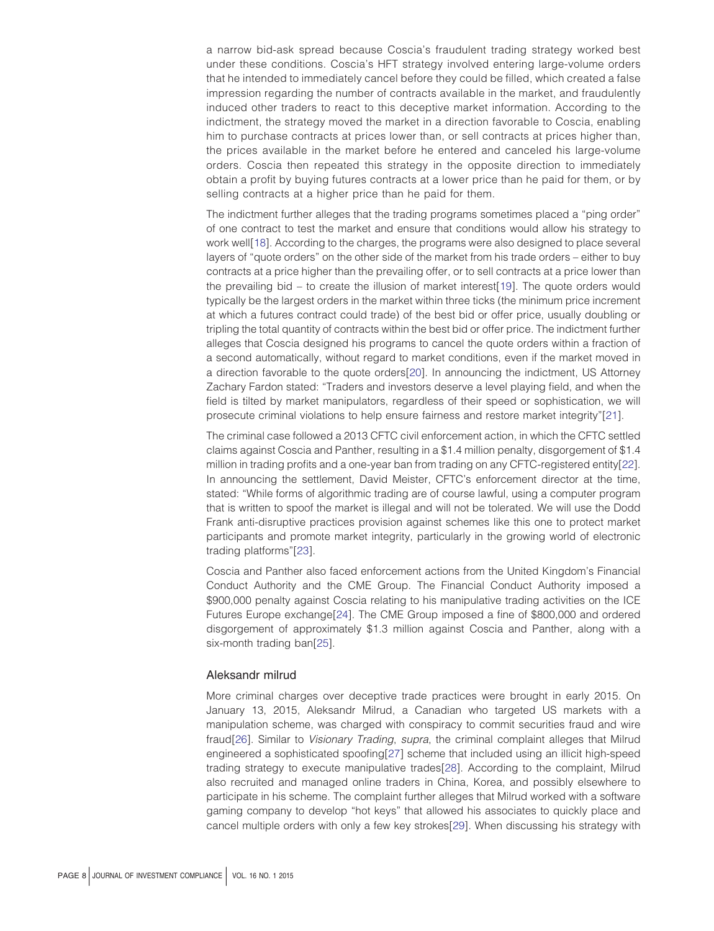a narrow bid-ask spread because Coscia's fraudulent trading strategy worked best under these conditions. Coscia's HFT strategy involved entering large-volume orders that he intended to immediately cancel before they could be filled, which created a false impression regarding the number of contracts available in the market, and fraudulently induced other traders to react to this deceptive market information. According to the indictment, the strategy moved the market in a direction favorable to Coscia, enabling him to purchase contracts at prices lower than, or sell contracts at prices higher than, the prices available in the market before he entered and canceled his large-volume orders. Coscia then repeated this strategy in the opposite direction to immediately obtain a profit by buying futures contracts at a lower price than he paid for them, or by selling contracts at a higher price than he paid for them.

The indictment further alleges that the trading programs sometimes placed a "ping order" of one contract to test the market and ensure that conditions would allow his strategy to work well[\[18\]](#page-6-13). According to the charges, the programs were also designed to place several layers of "quote orders" on the other side of the market from his trade orders – either to buy contracts at a price higher than the prevailing offer, or to sell contracts at a price lower than the prevailing bid – to create the illusion of market interest[\[19\]](#page-6-14). The quote orders would typically be the largest orders in the market within three ticks (the minimum price increment at which a futures contract could trade) of the best bid or offer price, usually doubling or tripling the total quantity of contracts within the best bid or offer price. The indictment further alleges that Coscia designed his programs to cancel the quote orders within a fraction of a second automatically, without regard to market conditions, even if the market moved in a direction favorable to the quote orders[\[20\]](#page-6-15). In announcing the indictment, US Attorney Zachary Fardon stated: "Traders and investors deserve a level playing field, and when the field is tilted by market manipulators, regardless of their speed or sophistication, we will prosecute criminal violations to help ensure fairness and restore market integrity"[\[21\]](#page-6-16).

The criminal case followed a 2013 CFTC civil enforcement action, in which the CFTC settled claims against Coscia and Panther, resulting in a \$1.4 million penalty, disgorgement of \$1.4 million in trading profits and a one-year ban from trading on any CFTC-registered entity[\[22\]](#page-6-17). In announcing the settlement, David Meister, CFTC's enforcement director at the time, stated: "While forms of algorithmic trading are of course lawful, using a computer program that is written to spoof the market is illegal and will not be tolerated. We will use the Dodd Frank anti-disruptive practices provision against schemes like this one to protect market participants and promote market integrity, particularly in the growing world of electronic trading platforms"[\[23\]](#page-6-18).

Coscia and Panther also faced enforcement actions from the United Kingdom's Financial Conduct Authority and the CME Group. The Financial Conduct Authority imposed a \$900,000 penalty against Coscia relating to his manipulative trading activities on the ICE Futures Europe exchange[\[24\]](#page-7-0). The CME Group imposed a fine of \$800,000 and ordered disgorgement of approximately \$1.3 million against Coscia and Panther, along with a six-month trading ban[\[25\]](#page-7-1).

## Aleksandr milrud

More criminal charges over deceptive trade practices were brought in early 2015. On January 13, 2015, Aleksandr Milrud, a Canadian who targeted US markets with a manipulation scheme, was charged with conspiracy to commit securities fraud and wire fraud[\[26\]](#page-7-2). Similar to *Visionary Trading*, *supra*, the criminal complaint alleges that Milrud engineered a sophisticated spoofing[\[27\]](#page-7-3) scheme that included using an illicit high-speed trading strategy to execute manipulative trades[\[28\]](#page-7-4). According to the complaint, Milrud also recruited and managed online traders in China, Korea, and possibly elsewhere to participate in his scheme. The complaint further alleges that Milrud worked with a software gaming company to develop "hot keys" that allowed his associates to quickly place and cancel multiple orders with only a few key strokes[\[29\]](#page-7-5). When discussing his strategy with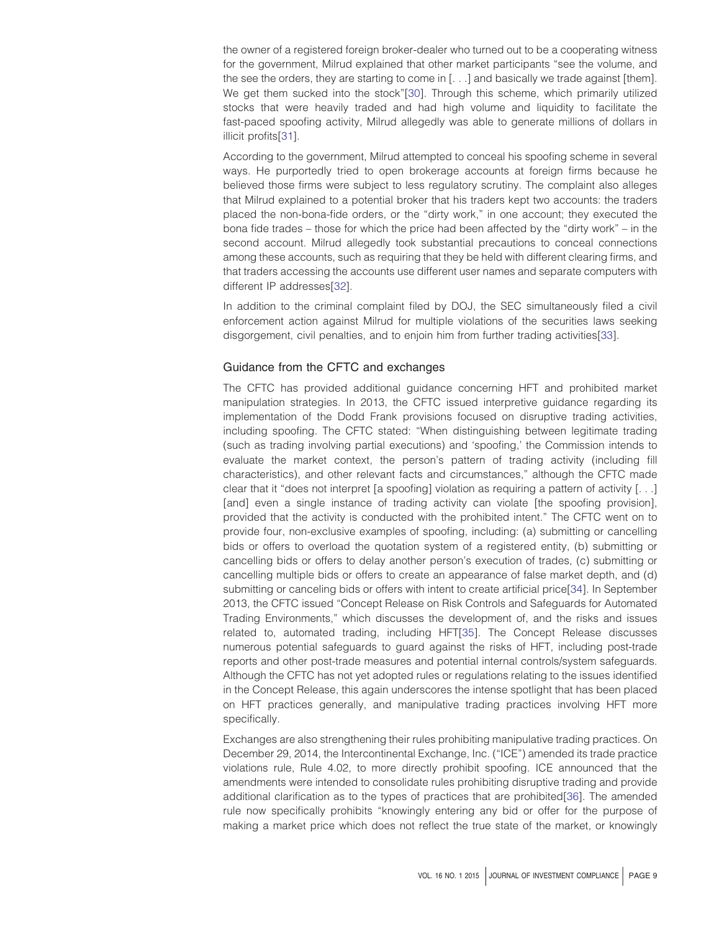the owner of a registered foreign broker-dealer who turned out to be a cooperating witness for the government, Milrud explained that other market participants "see the volume, and the see the orders, they are starting to come in [. . .] and basically we trade against [them]. We get them sucked into the stock"[\[30\]](#page-7-6). Through this scheme, which primarily utilized stocks that were heavily traded and had high volume and liquidity to facilitate the fast-paced spoofing activity, Milrud allegedly was able to generate millions of dollars in illicit profits[\[31\]](#page-7-7).

According to the government, Milrud attempted to conceal his spoofing scheme in several ways. He purportedly tried to open brokerage accounts at foreign firms because he believed those firms were subject to less regulatory scrutiny. The complaint also alleges that Milrud explained to a potential broker that his traders kept two accounts: the traders placed the non-bona-fide orders, or the "dirty work," in one account; they executed the bona fide trades – those for which the price had been affected by the "dirty work" – in the second account. Milrud allegedly took substantial precautions to conceal connections among these accounts, such as requiring that they be held with different clearing firms, and that traders accessing the accounts use different user names and separate computers with different IP addresses[\[32\]](#page-7-8).

In addition to the criminal complaint filed by DOJ, the SEC simultaneously filed a civil enforcement action against Milrud for multiple violations of the securities laws seeking disgorgement, civil penalties, and to enjoin him from further trading activities[\[33\]](#page-7-9).

## Guidance from the CFTC and exchanges

The CFTC has provided additional guidance concerning HFT and prohibited market manipulation strategies. In 2013, the CFTC issued interpretive guidance regarding its implementation of the Dodd Frank provisions focused on disruptive trading activities, including spoofing. The CFTC stated: "When distinguishing between legitimate trading (such as trading involving partial executions) and 'spoofing,' the Commission intends to evaluate the market context, the person's pattern of trading activity (including fill characteristics), and other relevant facts and circumstances," although the CFTC made clear that it "does not interpret [a spoofing] violation as requiring a pattern of activity [. . .] [and] even a single instance of trading activity can violate [the spoofing provision], provided that the activity is conducted with the prohibited intent." The CFTC went on to provide four, non-exclusive examples of spoofing, including: (a) submitting or cancelling bids or offers to overload the quotation system of a registered entity, (b) submitting or cancelling bids or offers to delay another person's execution of trades, (c) submitting or cancelling multiple bids or offers to create an appearance of false market depth, and (d) submitting or canceling bids or offers with intent to create artificial price[\[34\]](#page-7-10). In September 2013, the CFTC issued "Concept Release on Risk Controls and Safeguards for Automated Trading Environments," which discusses the development of, and the risks and issues related to, automated trading, including HFT[\[35\]](#page-7-11). The Concept Release discusses numerous potential safeguards to guard against the risks of HFT, including post-trade reports and other post-trade measures and potential internal controls/system safeguards. Although the CFTC has not yet adopted rules or regulations relating to the issues identified in the Concept Release, this again underscores the intense spotlight that has been placed on HFT practices generally, and manipulative trading practices involving HFT more specifically.

Exchanges are also strengthening their rules prohibiting manipulative trading practices. On December 29, 2014, the Intercontinental Exchange, Inc. ("ICE") amended its trade practice violations rule, Rule 4.02, to more directly prohibit spoofing. ICE announced that the amendments were intended to consolidate rules prohibiting disruptive trading and provide additional clarification as to the types of practices that are prohibited[\[36\]](#page-7-12). The amended rule now specifically prohibits "knowingly entering any bid or offer for the purpose of making a market price which does not reflect the true state of the market, or knowingly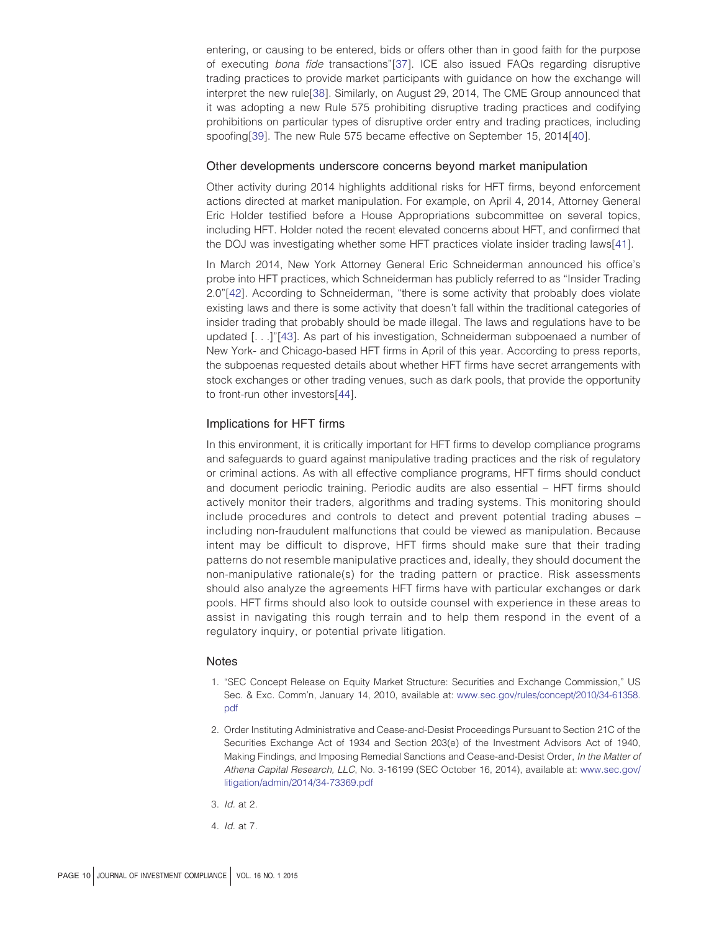entering, or causing to be entered, bids or offers other than in good faith for the purpose of executing *bona fide* transactions"[\[37\]](#page-7-13). ICE also issued FAQs regarding disruptive trading practices to provide market participants with guidance on how the exchange will interpret the new rule[\[38\]](#page-7-14). Similarly, on August 29, 2014, The CME Group announced that it was adopting a new Rule 575 prohibiting disruptive trading practices and codifying prohibitions on particular types of disruptive order entry and trading practices, including spoofing[\[39\]](#page-7-15). The new Rule 575 became effective on September 15, 2014[\[40\]](#page-7-16).

## Other developments underscore concerns beyond market manipulation

Other activity during 2014 highlights additional risks for HFT firms, beyond enforcement actions directed at market manipulation. For example, on April 4, 2014, Attorney General Eric Holder testified before a House Appropriations subcommittee on several topics, including HFT. Holder noted the recent elevated concerns about HFT, and confirmed that the DOJ was investigating whether some HFT practices violate insider trading laws[\[41\]](#page-7-17).

In March 2014, New York Attorney General Eric Schneiderman announced his office's probe into HFT practices, which Schneiderman has publicly referred to as "Insider Trading 2.0"[\[42\]](#page-7-18). According to Schneiderman, "there is some activity that probably does violate existing laws and there is some activity that doesn't fall within the traditional categories of insider trading that probably should be made illegal. The laws and regulations have to be updated [. . .]"[\[43\]](#page-7-19). As part of his investigation, Schneiderman subpoenaed a number of New York- and Chicago-based HFT firms in April of this year. According to press reports, the subpoenas requested details about whether HFT firms have secret arrangements with stock exchanges or other trading venues, such as dark pools, that provide the opportunity to front-run other investors[\[44\]](#page-7-20).

## Implications for HFT firms

In this environment, it is critically important for HFT firms to develop compliance programs and safeguards to guard against manipulative trading practices and the risk of regulatory or criminal actions. As with all effective compliance programs, HFT firms should conduct and document periodic training. Periodic audits are also essential – HFT firms should actively monitor their traders, algorithms and trading systems. This monitoring should include procedures and controls to detect and prevent potential trading abuses – including non-fraudulent malfunctions that could be viewed as manipulation. Because intent may be difficult to disprove, HFT firms should make sure that their trading patterns do not resemble manipulative practices and, ideally, they should document the non-manipulative rationale(s) for the trading pattern or practice. Risk assessments should also analyze the agreements HFT firms have with particular exchanges or dark pools. HFT firms should also look to outside counsel with experience in these areas to assist in navigating this rough terrain and to help them respond in the event of a regulatory inquiry, or potential private litigation.

## <span id="page-5-0"></span>Notes

- 1. "SEC Concept Release on Equity Market Structure: Securities and Exchange Commission," US Sec. & Exc. Comm'n, January 14, 2010, available at: [www.sec.gov/rules/concept/2010/34-61358.](http://www.sec.gov/rules/concept/2010/34-61358.pdf) [pdf](http://www.sec.gov/rules/concept/2010/34-61358.pdf)
- <span id="page-5-1"></span>2. Order Instituting Administrative and Cease-and-Desist Proceedings Pursuant to Section 21C of the Securities Exchange Act of 1934 and Section 203(e) of the Investment Advisors Act of 1940, Making Findings, and Imposing Remedial Sanctions and Cease-and-Desist Order, *In the Matter of Athena Capital Research, LLC*, No. 3-16199 (SEC October 16, 2014), available at: [www.sec.gov/](http://www.sec.gov/litigation/admin/2014/34-73369.pdf) [litigation/admin/2014/34-73369.pdf](http://www.sec.gov/litigation/admin/2014/34-73369.pdf)
- <span id="page-5-2"></span>3. *Id.* at 2.
- <span id="page-5-3"></span>4. *Id.* at 7.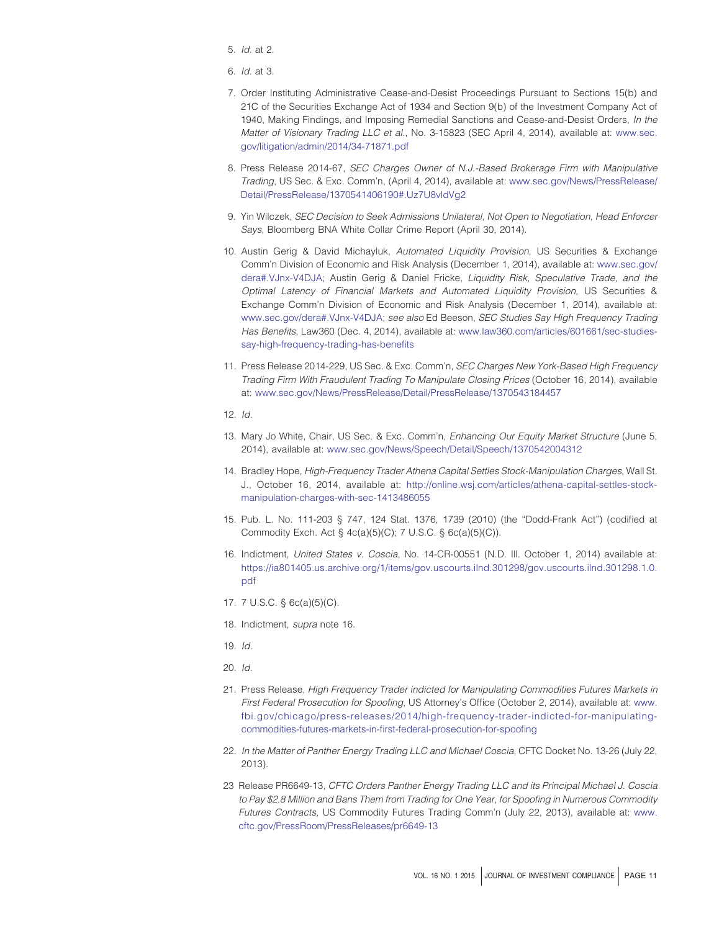- <span id="page-6-0"></span>5. *Id.* at 2.
- <span id="page-6-1"></span>6. *Id.* at 3.
- <span id="page-6-2"></span>7. Order Instituting Administrative Cease-and-Desist Proceedings Pursuant to Sections 15(b) and 21C of the Securities Exchange Act of 1934 and Section 9(b) of the Investment Company Act of 1940, Making Findings, and Imposing Remedial Sanctions and Cease-and-Desist Orders, *In the Matter of Visionary Trading LLC et al.*, No. 3-15823 (SEC April 4, 2014), available at: [www.sec.](http://www.sec.gov/litigation/admin/2014/34-71871.pdf) [gov/litigation/admin/2014/34-71871.pdf](http://www.sec.gov/litigation/admin/2014/34-71871.pdf)
- <span id="page-6-3"></span>8. Press Release 2014-67, *SEC Charges Owner of N.J.-Based Brokerage Firm with Manipulative Trading*, US Sec. & Exc. Comm'n, (April 4, 2014), available at: [www.sec.gov/News/PressRelease/](http://www.sec.gov/News/PressRelease/Detail/PressRelease/1370541406190%23.Uz7U8vldVg2) [Detail/PressRelease/1370541406190#.Uz7U8vldVg2](http://www.sec.gov/News/PressRelease/Detail/PressRelease/1370541406190%23.Uz7U8vldVg2)
- <span id="page-6-4"></span>9. Yin Wilczek, *SEC Decision to Seek Admissions Unilateral, Not Open to Negotiation, Head Enforcer Says*, Bloomberg BNA White Collar Crime Report (April 30, 2014).
- <span id="page-6-5"></span>10. Austin Gerig & David Michayluk, *Automated Liquidity Provision*, US Securities & Exchange Comm'n Division of Economic and Risk Analysis (December 1, 2014), available at: [www.sec.gov/](http://www.sec.gov/dera%23.VJnx-V4DJA) [dera#.VJnx-V4DJA;](http://www.sec.gov/dera%23.VJnx-V4DJA) Austin Gerig & Daniel Fricke, *Liquidity Risk, Speculative Trade, and the Optimal Latency of Financial Markets and Automated Liquidity Provision*, US Securities & Exchange Comm'n Division of Economic and Risk Analysis (December 1, 2014), available at: [www.sec.gov/dera#.VJnx-V4DJA;](http://www.sec.gov/dera%23.VJnx-V4DJA) *see also* Ed Beeson, *SEC Studies Say High Frequency Trading Has Benefits*, Law360 (Dec. 4, 2014), available at: [www.law360.com/articles/601661/sec-studies](http://www.law360.com/articles/601661/sec-studies-say-high-frequency-trading-has-benefits)[say-high-frequency-trading-has-benefits](http://www.law360.com/articles/601661/sec-studies-say-high-frequency-trading-has-benefits)
- <span id="page-6-6"></span>11. Press Release 2014-229, US Sec. & Exc. Comm'n, *SEC Charges New York-Based High Frequency Trading Firm With Fraudulent Trading To Manipulate Closing Prices* (October 16, 2014), available at: [www.sec.gov/News/PressRelease/Detail/PressRelease/1370543184457](http://www.sec.gov/News/PressRelease/Detail/PressRelease/1370543184457)
- <span id="page-6-7"></span>12. *Id.*
- <span id="page-6-8"></span>13. Mary Jo White, Chair, US Sec. & Exc. Comm'n, *Enhancing Our Equity Market Structure* (June 5, 2014), available at: [www.sec.gov/News/Speech/Detail/Speech/1370542004312](http://www.sec.gov/News/Speech/Detail/Speech/1370542004312)
- <span id="page-6-9"></span>14. Bradley Hope, *High-Frequency Trader Athena Capital Settles Stock-Manipulation Charges*, Wall St. J., October 16, 2014, available at: [http://online.wsj.com/articles/athena-capital-settles-stock](http://online.wsj.com/articles/athena-capital-settles-stock-manipulation-charges-with-sec-1413486055)[manipulation-charges-with-sec-1413486055](http://online.wsj.com/articles/athena-capital-settles-stock-manipulation-charges-with-sec-1413486055)
- <span id="page-6-10"></span>15. Pub. L. No. 111-203 § 747, 124 Stat. 1376, 1739 (2010) (the "Dodd-Frank Act") (codified at Commodity Exch. Act § 4c(a)(5)(C); 7 U.S.C. § 6c(a)(5)(C)).
- <span id="page-6-11"></span>16. Indictment, *United States v. Coscia*, No. 14-CR-00551 (N.D. Ill. October 1, 2014) available at: [https://ia801405.us.archive.org/1/items/gov.uscourts.ilnd.301298/gov.uscourts.ilnd.301298.1.0.](https://ia801405.us.archive.org/1/items/gov.uscourts.ilnd.301298/gov.uscourts.ilnd.301298.1.0.pdf) [pdf](https://ia801405.us.archive.org/1/items/gov.uscourts.ilnd.301298/gov.uscourts.ilnd.301298.1.0.pdf)
- <span id="page-6-12"></span>17. 7 U.S.C. § 6c(a)(5)(C).
- <span id="page-6-13"></span>18. Indictment, *supra* note 16.
- <span id="page-6-14"></span>19. *Id.*
- <span id="page-6-15"></span>20. *Id*.
- <span id="page-6-16"></span>21. Press Release, *High Frequency Trader indicted for Manipulating Commodities Futures Markets in First Federal Prosecution for Spoofing*, US Attorney's Office (October 2, 2014), available at: [www.](http://www.fbi.gov/chicago/press-releases/2014/high-frequency-trader-indicted-for-manipulating-commodities-futures-markets-in-first-federal-prosecution-for-spoofing) [fbi.gov/chicago/press-releases/2014/high-frequency-trader-indicted-for-manipulating](http://www.fbi.gov/chicago/press-releases/2014/high-frequency-trader-indicted-for-manipulating-commodities-futures-markets-in-first-federal-prosecution-for-spoofing)[commodities-futures-markets-in-first-federal-prosecution-for-spoofing](http://www.fbi.gov/chicago/press-releases/2014/high-frequency-trader-indicted-for-manipulating-commodities-futures-markets-in-first-federal-prosecution-for-spoofing)
- <span id="page-6-17"></span>22. *In the Matter of Panther Energy Trading LLC and Michael Coscia*, CFTC Docket No. 13-26 (July 22, 2013).
- <span id="page-6-18"></span>23 Release PR6649-13, *CFTC Orders Panther Energy Trading LLC and its Principal Michael J. Coscia to Pay \$2.8 Million and Bans Them from Trading for One Year, for Spoofing in Numerous Commodity Futures Contracts*, US Commodity Futures Trading Comm'n (July 22, 2013), available at: [www.](http://www.cftc.gov/PressRoom/PressReleases/pr6649-13) [cftc.gov/PressRoom/PressReleases/pr6649-13](http://www.cftc.gov/PressRoom/PressReleases/pr6649-13)